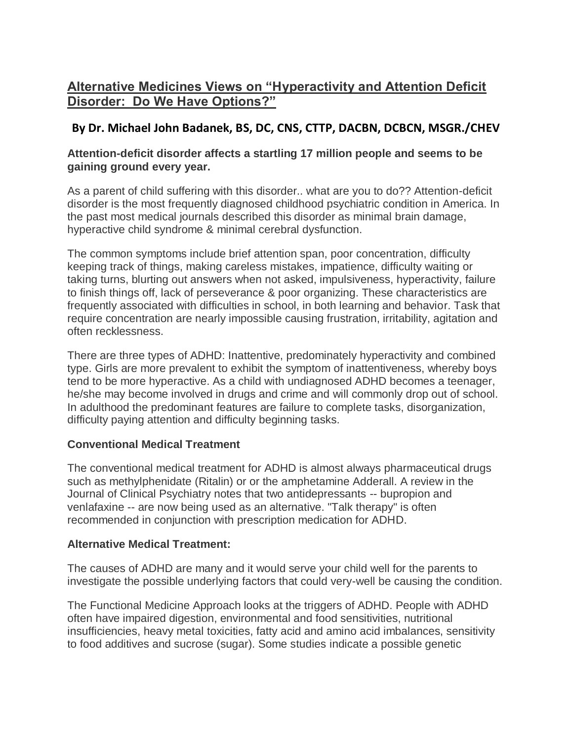# **Alternative Medicines Views on "Hyperactivity and Attention Deficit Disorder: Do We Have Options?"**

## **By Dr. Michael John Badanek, BS, DC, CNS, CTTP, DACBN, DCBCN, MSGR./CHEV**

## **Attention-deficit disorder affects a startling 17 million people and seems to be gaining ground every year.**

As a parent of child suffering with this disorder.. what are you to do?? Attention-deficit disorder is the most frequently diagnosed childhood psychiatric condition in America. In the past most medical journals described this disorder as minimal brain damage, hyperactive child syndrome & minimal cerebral dysfunction.

The common symptoms include brief attention span, poor concentration, difficulty keeping track of things, making careless mistakes, impatience, difficulty waiting or taking turns, blurting out answers when not asked, impulsiveness, hyperactivity, failure to finish things off, lack of perseverance & poor organizing. These characteristics are frequently associated with difficulties in school, in both learning and behavior. Task that require concentration are nearly impossible causing frustration, irritability, agitation and often recklessness.

There are three types of ADHD: Inattentive, predominately hyperactivity and combined type. Girls are more prevalent to exhibit the symptom of inattentiveness, whereby boys tend to be more hyperactive. As a child with undiagnosed ADHD becomes a teenager, he/she may become involved in drugs and crime and will commonly drop out of school. In adulthood the predominant features are failure to complete tasks, disorganization, difficulty paying attention and difficulty beginning tasks.

## **Conventional Medical Treatment**

The conventional medical treatment for ADHD is almost always pharmaceutical drugs such as methylphenidate (Ritalin) or or the amphetamine Adderall. A review in the Journal of Clinical Psychiatry notes that two antidepressants -- bupropion and venlafaxine -- are now being used as an alternative. "Talk therapy" is often recommended in conjunction with prescription medication for ADHD.

#### **Alternative Medical Treatment:**

The causes of ADHD are many and it would serve your child well for the parents to investigate the possible underlying factors that could very-well be causing the condition.

The Functional Medicine Approach looks at the triggers of ADHD. People with ADHD often have impaired digestion, environmental and food sensitivities, nutritional insufficiencies, heavy metal toxicities, fatty acid and amino acid imbalances, sensitivity to food additives and sucrose (sugar). Some studies indicate a possible genetic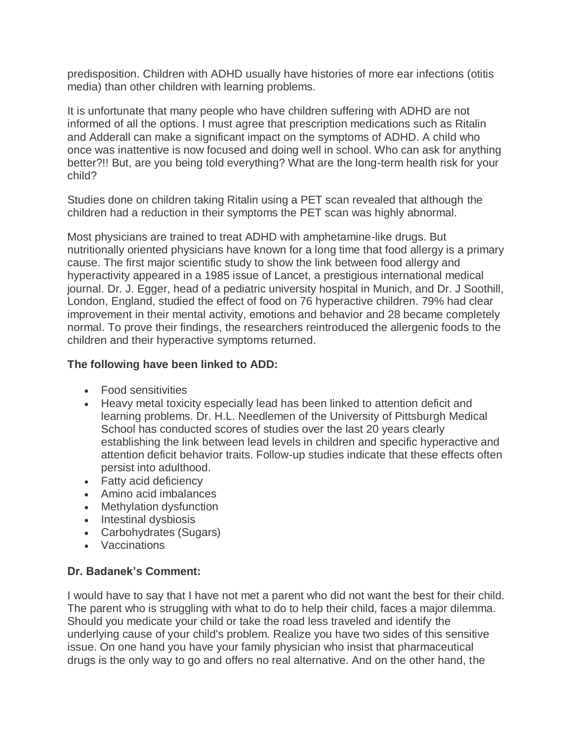predisposition. Children with ADHD usually have histories of more ear infections (otitis media) than other children with learning problems.

It is unfortunate that many people who have children suffering with ADHD are not informed of all the options. I must agree that prescription medications such as Ritalin and Adderall can make a significant impact on the symptoms of ADHD. A child who once was inattentive is now focused and doing well in school. Who can ask for anything better?!! But, are you being told everything? What are the long-term health risk for your child?

Studies done on children taking Ritalin using a PET scan revealed that although the children had a reduction in their symptoms the PET scan was highly abnormal.

Most physicians are trained to treat ADHD with amphetamine-like drugs. But nutritionally oriented physicians have known for a long time that food allergy is a primary cause. The first major scientific study to show the link between food allergy and hyperactivity appeared in a 1985 issue of Lancet, a prestigious international medical journal. Dr. J. Egger, head of a pediatric university hospital in Munich, and Dr. J Soothill, London, England, studied the effect of food on 76 hyperactive children. 79% had clear improvement in their mental activity, emotions and behavior and 28 became completely normal. To prove their findings, the researchers reintroduced the allergenic foods to the children and their hyperactive symptoms returned.

#### **The following have been linked to ADD:**

- Food sensitivities
- Heavy metal toxicity especially lead has been linked to attention deficit and learning problems. Dr. H.L. Needlemen of the University of Pittsburgh Medical School has conducted scores of studies over the last 20 years clearly establishing the link between lead levels in children and specific hyperactive and attention deficit behavior traits. Follow-up studies indicate that these effects often persist into adulthood.
- Fatty acid deficiency
- Amino acid imbalances
- Methylation dysfunction
- Intestinal dysbiosis
- Carbohydrates (Sugars)
- Vaccinations

#### **Dr. Badanek's Comment:**

I would have to say that I have not met a parent who did not want the best for their child. The parent who is struggling with what to do to help their child, faces a major dilemma. Should you medicate your child or take the road less traveled and identify the underlying cause of your child's problem. Realize you have two sides of this sensitive issue. On one hand you have your family physician who insist that pharmaceutical drugs is the only way to go and offers no real alternative. And on the other hand, the